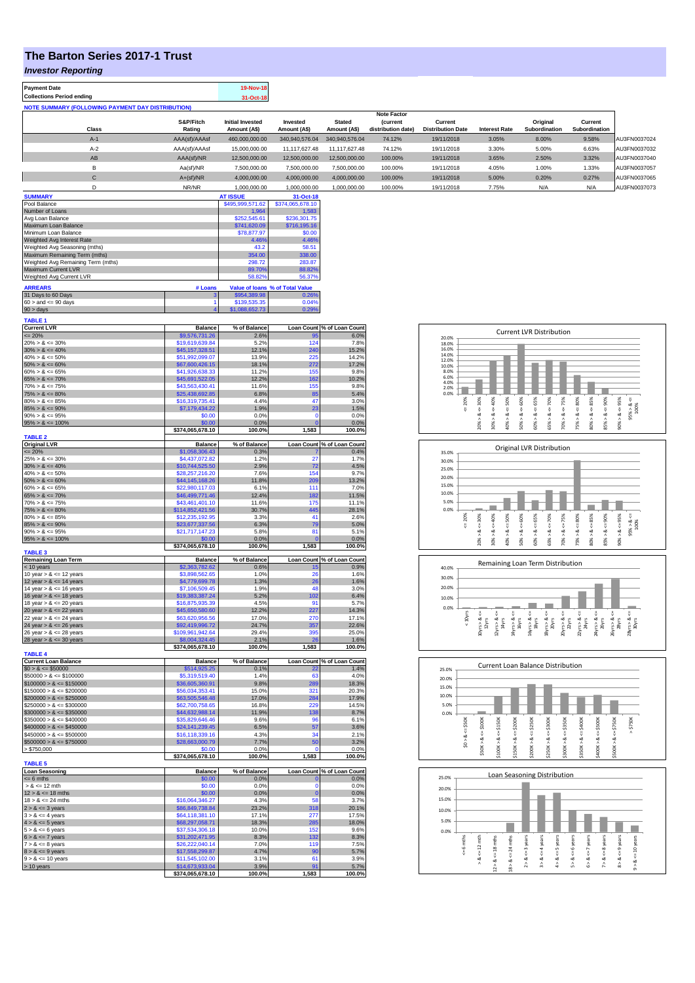## **The Barton Series 2017-1 Trust**

*Investor Reporting*

| <b>Payment Date</b>              |       |                                                          | 19-Nov-18                               |                          |                               |                                                             |                                     |                      |                           |                                 |              |
|----------------------------------|-------|----------------------------------------------------------|-----------------------------------------|--------------------------|-------------------------------|-------------------------------------------------------------|-------------------------------------|----------------------|---------------------------|---------------------------------|--------------|
| <b>Collections Period ending</b> |       |                                                          | 31-Oct-18                               |                          |                               |                                                             |                                     |                      |                           |                                 |              |
|                                  |       | <b>NOTE SUMMARY (FOLLOWING PAYMENT DAY DISTRIBUTION)</b> |                                         |                          |                               |                                                             |                                     |                      |                           |                                 |              |
|                                  | Class | S&P/Fitch<br>Rating                                      | <b>Initial Invested</b><br>Amount (A\$) | Invested<br>Amount (A\$) | <b>Stated</b><br>Amount (A\$) | <b>Note Factor</b><br><b>(current</b><br>distribution date) | Current<br><b>Distribution Date</b> | <b>Interest Rate</b> | Original<br>Subordination | Current<br><b>Subordination</b> |              |
|                                  | $A-1$ | AAA(sf)/AAAsf                                            | 460.000.000.00                          | 340.940.576.04           | 340.940.576.04                | 74.12%                                                      | 19/11/2018                          | 3.05%                | 8.00%                     | 9.58%                           | AU3FN0037024 |
|                                  | $A-2$ | AAA(sf)/AAAsf                                            | 15.000.000.00                           | 11.117.627.48            | 11.117.627.48                 | 74.12%                                                      | 19/11/2018                          | 3.30%                | 5.00%                     | 6.63%                           | AU3FN0037032 |
|                                  | AB    | AAA(sf)/NR                                               | 12,500,000,00                           | 12,500,000.00            | 12.500.000.00                 | 100.00%                                                     | 19/11/2018                          | 3.65%                | 2.50%                     | 3.32%                           | AU3FN0037040 |
|                                  | в     | Aa(sf)/NR                                                | 7.500.000.00                            | 7.500.000.00             | 7.500.000.00                  | 100.00%                                                     | 19/11/2018                          | 4.05%                | 1.00%                     | 1.33%                           | AU3FN0037057 |
|                                  | С     | $A+(sf)/NR$                                              | 4.000.000.00                            | 4,000,000.00             | 4,000,000.00                  | 100.00%                                                     | 19/11/2018                          | 5.00%                | 0.20%                     | 0.27%                           | AU3FN0037065 |
|                                  | D     | NR/NR                                                    | 1.000.000.00                            | 1.000.000.00             | 1.000.000.00                  | 100.00%                                                     | 19/11/2018                          | 7.75%                | N/A                       | N/A                             | AU3FN0037073 |
| <b>SUMMARY</b>                   |       |                                                          | <b>AT ISSUE</b>                         | 31-Oct-18                |                               |                                                             |                                     |                      |                           |                                 |              |
| Pool Balance                     |       |                                                          | \$495,999,571.62                        | \$374,065,678.10         |                               |                                                             |                                     |                      |                           |                                 |              |
| Number of Loans                  |       |                                                          | 1,964                                   | 1,583                    |                               |                                                             |                                     |                      |                           |                                 |              |

| <b>NUTREL OF LOADS</b>             |              | 1.904        | 1.000                           |
|------------------------------------|--------------|--------------|---------------------------------|
| Avg Loan Balance                   |              | \$252,545.61 | \$236,301.75                    |
| Maximum Loan Balance               |              | \$741,620.09 | \$716,195.16                    |
| Minimum Loan Balance               |              | \$78,877.97  | \$0.00                          |
| Weighted Avg Interest Rate         |              | 4.46%        | 4.46%                           |
| Weighted Avg Seasoning (mths)      |              | 43.2         | 58.51                           |
| Maximum Remaining Term (mths)      |              | 354.00       | 338.00                          |
| Weighted Avg Remaining Term (mths) |              | 298.72       | 283.87                          |
| <b>Maximum Current LVR</b>         |              | 89.70%       | 88.82%                          |
| Weighted Avg Current LVR           |              | 58.82%       | 56.37%                          |
| <b>ARREARS</b>                     | # Loans      |              | Value of Ioans % of Total Value |
| 31 Days to 60 Days                 | $\mathbf{3}$ | \$954,389.98 | 0.26%                           |

| 31 Days to 60 Days        | \$954,389.98   | 0.26% |
|---------------------------|----------------|-------|
| $60 >$ and $\leq 90$ days | \$139,535.35   | 0.04% |
| $90 >$ days               | \$1,088,652.73 | 0.29% |
| <b>TABLE 1</b>            |                |       |

| 124<br>$20\% > 8 \le 30\%$<br>\$19,619,639.84<br>5.2%<br>7.8%<br>$30\% > 8 \le 40\%$<br>\$45,157,328.51<br>12.1%<br>240<br>15.2%<br>$40\% > 8 \le 50\%$<br>\$51,992,099.07<br>13.9%<br>225<br>14.2%<br>$50\% > 8 \le 60\%$<br>272<br>\$67,600,426.15<br>18.1%<br>17.2%<br>$60\% > 8 \le 65\%$<br>\$41,926,638.33<br>11.2%<br>155<br>9.8%<br>$65\% > 8 \le 70\%$<br>\$45,691,522.05<br>12.2%<br>162<br>10.2%<br>$70\% > 8 \le 75\%$<br>\$43,563,430.41<br>11.6%<br>155<br>9.8%<br>$75\% > 8 \le 80\%$<br>\$25,438,692.85<br>6.8%<br>85<br>5.4%<br>$80\% > 8 \le 85\%$<br>\$16,319,735.41<br>4.4%<br>47<br>3.0%<br>$85\% > 8 \le 90\%$<br>\$7,179,434.22<br>1.9%<br>23<br>1.5%<br>$90\% > 8 \le 95\%$<br>\$0.00<br>0.0%<br>O<br>0.0%<br>$95\% > 8 \le 100\%$<br>\$0.00<br>0.0%<br>O<br>0.0%<br>\$374,065,678.10<br>100.0%<br>1,583<br>100.0%<br><b>TABLE 2</b><br><b>Original LVR</b><br><b>Balance</b><br>% of Balance<br>Loan Count % of Loan Count<br>$= 20%$<br>0.4%<br>\$1,058,306.43<br>0.3%<br>$25\% > 8 \le 30\%$<br>\$4,437,072.82<br>1.2%<br>27<br>1.7%<br>$30\% > 8 \le 40\%$<br>\$10,744,525.50<br>4.5%<br>2.9%<br>72<br>$40\% > 8 \le 50\%$<br>\$28,257,216.20<br>7.6%<br>154<br>9.7%<br>13.2%<br>$50\% > 8 \le 60\%$<br>\$44,145,168.26<br>11.8%<br>209<br>$60\% > 8 \le 65\%$<br>\$22,980,117.03<br>6.1%<br>111<br>7.0%<br>$65\% > 8 \le 70\%$<br>\$46,499,771.46<br>12.4%<br>182<br>11.5%<br>$70\% > 8 \le 75\%$<br>\$43,461,401.10<br>11.6%<br>175<br>11.1%<br>445<br>$75\% > 8 \le 80\%$<br>\$114,852,421.56<br>30.7%<br>28.1%<br>$80\% > 8 \le 85\%$<br>\$12,235,192.95<br>3.3%<br>41<br>2.6%<br>$85\% > 8 \le 90\%$<br>\$23,677,337.56<br>6.3%<br>79<br>5.0%<br>$90\% > 8 \le 95\%$<br>\$21,717,147.23<br>5.8%<br>81<br>5.1%<br>$95\% > 8 \le 100\%$<br>\$0.00<br>0.0%<br>0.0%<br>\$374,065,678.10<br>100.0%<br>1,583<br>100.0%<br><b>TABLE 3</b><br><b>Remaining Loan Term</b><br><b>Balance</b><br>% of Balance<br>Loan Count % of Loan Count<br>< 10 years<br>\$2,363,782.62<br>0.6%<br>15<br>0.9%<br>1.0%<br>1.6%<br>10 year $> 8 \le 12$ years<br>\$3,898,562.65<br>26<br>12 year $> 8 \le 14$ years<br>\$4,779,699.78<br>1.3%<br>26<br>1.6%<br>48<br>3.0%<br>14 year $> 8 \le 16$ years<br>\$7,106,509.45<br>1.9%<br>102<br>16 year $> 8 \le 18$ years<br>5.2%<br>6.4%<br>\$19,383,387.24<br>Q <sub>1</sub><br>5.7%<br>18 year $> 8 \le 20$ years<br>\$16,875,935.39<br>4.5%<br>227<br>20 year $> 8 \le 22$ years<br>14.3%<br>\$45,650,580.60<br>12.2%<br>270<br>17.1%<br>22 year $> 8 \le 24$ years<br>\$63,620,956.56<br>17.0%<br>24 year $> 8 \le 26$ years<br>24.7%<br>357<br>22.6%<br>\$92,419,996.72<br>395<br>26 year $> 8 \le 28$ years<br>\$109,961,942.64<br>29.4%<br>25.0%<br>\$8,004,324.45<br>2.1%<br>26<br>1.6%<br>28 year $> 8 \le 30$ years<br>\$374,065,678.10<br>100.0%<br>1,583<br>100.0%<br><b>TABLE 4</b><br><b>Current Loan Balance</b><br><b>Balance</b><br>% of Balance<br><b>Loan Count</b><br>% of Loan Count<br>$$0 > 8 \le $50000$<br>\$514,925.25<br>1.4%<br>0.1%<br>$$50000 > 8 \le $100000$<br>\$5,319,519.40<br>1.4%<br>4.0%<br>63<br>$$100000 > 8 \le $150000$<br>\$36,605,360.91<br>9.8%<br>289<br>18.3%<br>$$150000 > 8 \le $200000$<br>\$56,034,353.41<br>15.0%<br>321<br>20.3%<br>284<br>$$200000 > 8 \leq $250000$<br>\$63,505,546.48<br>17.0%<br>17.9%<br>229<br>$$250000 > 8 \leq $300000$<br>\$62,700,758.65<br>16.8%<br>14.5%<br>138<br>$$300000 > 8 \leq $350000$<br>8.7%<br>\$44,632,988.14<br>11.9%<br>$$350000 > 8 \le $400000$<br>\$35,829,646.46<br>96<br>6.1%<br>9.6%<br>$$400000 > 8 \le $450000$<br>\$24,141,239.45<br>57<br>3.6%<br>6.5%<br>\$16,118,339.16<br>$$450000 > 8 \le $500000$<br>34<br>2.1%<br>4.3%<br>$$500000 > 8 \le $750000$<br>50<br>3.2%<br>\$28,663,000.79<br>7.7%<br>> \$750,000<br>0.0%<br>\$0.00<br>0.0%<br>n<br>\$374,065,678.10<br>100.0%<br>1.583<br>100.0%<br><b>TABLE 5</b><br><b>Loan Seasoning</b><br><b>Balance</b><br>% of Balance<br>Loan Count % of Loan Count<br>$= 6$ mths<br>\$0.00<br>0.0%<br>0.0%<br>$> 8 \le 12$ mth<br>\$0.00<br>0.0%<br>0.0%<br>$\Omega$<br>$12 > 8 \le 18$ mths<br>0.0%<br>0.0%<br>\$0.00<br>$\Omega$<br>$18 > 8 \le 24$ mths<br>\$16,064,346.27<br>4.3%<br>58<br>3.7%<br>20.1%<br>$2 > 8 \le 3$ years<br>\$86,849,738.84<br>23.2%<br>318<br>$3 > 8 \le 4$ years<br>\$64.118.381.10<br>17.1%<br>277<br>17.5%<br>285<br>$4 > 8 \le 5$ years<br>\$68,297,058.71<br>18.3%<br>18.0%<br>$5 > 8 \le 6$ years<br>\$37,534,306.18<br>10.0%<br>152<br>9.6%<br>$6 > 8 \le 7$ years<br>\$31,202,471.95<br>8.3%<br>132<br>8.3%<br>$7 > 8 \le 8$ years<br>\$26,222,040.14<br>7.0%<br>119<br>7.5%<br>4.7%<br>90<br>5.7%<br>$8 > 8 \le 9$ years<br>\$17,558,299.87<br>$9 > 8 \le 10$ years<br>\$11,545,102.00<br>3.1%<br>61<br>3.9%<br>\$14,673,933.04<br>3.9%<br>91<br>5.7%<br>\$374,065,678.10<br>100.0%<br>1,583<br>100.0% | <b>Current LVR</b> | <b>Balance</b> | % of Balance |    | Loan Count % of Loan Count |
|-----------------------------------------------------------------------------------------------------------------------------------------------------------------------------------------------------------------------------------------------------------------------------------------------------------------------------------------------------------------------------------------------------------------------------------------------------------------------------------------------------------------------------------------------------------------------------------------------------------------------------------------------------------------------------------------------------------------------------------------------------------------------------------------------------------------------------------------------------------------------------------------------------------------------------------------------------------------------------------------------------------------------------------------------------------------------------------------------------------------------------------------------------------------------------------------------------------------------------------------------------------------------------------------------------------------------------------------------------------------------------------------------------------------------------------------------------------------------------------------------------------------------------------------------------------------------------------------------------------------------------------------------------------------------------------------------------------------------------------------------------------------------------------------------------------------------------------------------------------------------------------------------------------------------------------------------------------------------------------------------------------------------------------------------------------------------------------------------------------------------------------------------------------------------------------------------------------------------------------------------------------------------------------------------------------------------------------------------------------------------------------------------------------------------------------------------------------------------------------------------------------------------------------------------------------------------------------------------------------------------------------------------------------------------------------------------------------------------------------------------------------------------------------------------------------------------------------------------------------------------------------------------------------------------------------------------------------------------------------------------------------------------------------------------------------------------------------------------------------------------------------------------------------------------------------------------------------------------------------------------------------------------------------------------------------------------------------------------------------------------------------------------------------------------------------------------------------------------------------------------------------------------------------------------------------------------------------------------------------------------------------------------------------------------------------------------------------------------------------------------------------------------------------------------------------------------------------------------------------------------------------------------------------------------------------------------------------------------------------------------------------------------------------------------------------------------------------------------------------------------------------------------------------------------------------------------------------------------------------------------------------------------------------------------------------------------------------------------------------------------------------------------------------------------------------------------------------------------------------------------------------------------------------------------------------------------------------------------------------------------------------------------------------------------------------------------------------------------------------------------------------------------------------------------------------------------------------------------------|--------------------|----------------|--------------|----|----------------------------|
|                                                                                                                                                                                                                                                                                                                                                                                                                                                                                                                                                                                                                                                                                                                                                                                                                                                                                                                                                                                                                                                                                                                                                                                                                                                                                                                                                                                                                                                                                                                                                                                                                                                                                                                                                                                                                                                                                                                                                                                                                                                                                                                                                                                                                                                                                                                                                                                                                                                                                                                                                                                                                                                                                                                                                                                                                                                                                                                                                                                                                                                                                                                                                                                                                                                                                                                                                                                                                                                                                                                                                                                                                                                                                                                                                                                                                                                                                                                                                                                                                                                                                                                                                                                                                                                                                                                                                                                                                                                                                                                                                                                                                                                                                                                                                                                                                                                     | $= 20%$            | \$9,576,731.26 | 2.6%         | 95 | 6.0%                       |
|                                                                                                                                                                                                                                                                                                                                                                                                                                                                                                                                                                                                                                                                                                                                                                                                                                                                                                                                                                                                                                                                                                                                                                                                                                                                                                                                                                                                                                                                                                                                                                                                                                                                                                                                                                                                                                                                                                                                                                                                                                                                                                                                                                                                                                                                                                                                                                                                                                                                                                                                                                                                                                                                                                                                                                                                                                                                                                                                                                                                                                                                                                                                                                                                                                                                                                                                                                                                                                                                                                                                                                                                                                                                                                                                                                                                                                                                                                                                                                                                                                                                                                                                                                                                                                                                                                                                                                                                                                                                                                                                                                                                                                                                                                                                                                                                                                                     |                    |                |              |    |                            |
|                                                                                                                                                                                                                                                                                                                                                                                                                                                                                                                                                                                                                                                                                                                                                                                                                                                                                                                                                                                                                                                                                                                                                                                                                                                                                                                                                                                                                                                                                                                                                                                                                                                                                                                                                                                                                                                                                                                                                                                                                                                                                                                                                                                                                                                                                                                                                                                                                                                                                                                                                                                                                                                                                                                                                                                                                                                                                                                                                                                                                                                                                                                                                                                                                                                                                                                                                                                                                                                                                                                                                                                                                                                                                                                                                                                                                                                                                                                                                                                                                                                                                                                                                                                                                                                                                                                                                                                                                                                                                                                                                                                                                                                                                                                                                                                                                                                     |                    |                |              |    |                            |
|                                                                                                                                                                                                                                                                                                                                                                                                                                                                                                                                                                                                                                                                                                                                                                                                                                                                                                                                                                                                                                                                                                                                                                                                                                                                                                                                                                                                                                                                                                                                                                                                                                                                                                                                                                                                                                                                                                                                                                                                                                                                                                                                                                                                                                                                                                                                                                                                                                                                                                                                                                                                                                                                                                                                                                                                                                                                                                                                                                                                                                                                                                                                                                                                                                                                                                                                                                                                                                                                                                                                                                                                                                                                                                                                                                                                                                                                                                                                                                                                                                                                                                                                                                                                                                                                                                                                                                                                                                                                                                                                                                                                                                                                                                                                                                                                                                                     |                    |                |              |    |                            |
|                                                                                                                                                                                                                                                                                                                                                                                                                                                                                                                                                                                                                                                                                                                                                                                                                                                                                                                                                                                                                                                                                                                                                                                                                                                                                                                                                                                                                                                                                                                                                                                                                                                                                                                                                                                                                                                                                                                                                                                                                                                                                                                                                                                                                                                                                                                                                                                                                                                                                                                                                                                                                                                                                                                                                                                                                                                                                                                                                                                                                                                                                                                                                                                                                                                                                                                                                                                                                                                                                                                                                                                                                                                                                                                                                                                                                                                                                                                                                                                                                                                                                                                                                                                                                                                                                                                                                                                                                                                                                                                                                                                                                                                                                                                                                                                                                                                     |                    |                |              |    |                            |
|                                                                                                                                                                                                                                                                                                                                                                                                                                                                                                                                                                                                                                                                                                                                                                                                                                                                                                                                                                                                                                                                                                                                                                                                                                                                                                                                                                                                                                                                                                                                                                                                                                                                                                                                                                                                                                                                                                                                                                                                                                                                                                                                                                                                                                                                                                                                                                                                                                                                                                                                                                                                                                                                                                                                                                                                                                                                                                                                                                                                                                                                                                                                                                                                                                                                                                                                                                                                                                                                                                                                                                                                                                                                                                                                                                                                                                                                                                                                                                                                                                                                                                                                                                                                                                                                                                                                                                                                                                                                                                                                                                                                                                                                                                                                                                                                                                                     |                    |                |              |    |                            |
|                                                                                                                                                                                                                                                                                                                                                                                                                                                                                                                                                                                                                                                                                                                                                                                                                                                                                                                                                                                                                                                                                                                                                                                                                                                                                                                                                                                                                                                                                                                                                                                                                                                                                                                                                                                                                                                                                                                                                                                                                                                                                                                                                                                                                                                                                                                                                                                                                                                                                                                                                                                                                                                                                                                                                                                                                                                                                                                                                                                                                                                                                                                                                                                                                                                                                                                                                                                                                                                                                                                                                                                                                                                                                                                                                                                                                                                                                                                                                                                                                                                                                                                                                                                                                                                                                                                                                                                                                                                                                                                                                                                                                                                                                                                                                                                                                                                     |                    |                |              |    |                            |
|                                                                                                                                                                                                                                                                                                                                                                                                                                                                                                                                                                                                                                                                                                                                                                                                                                                                                                                                                                                                                                                                                                                                                                                                                                                                                                                                                                                                                                                                                                                                                                                                                                                                                                                                                                                                                                                                                                                                                                                                                                                                                                                                                                                                                                                                                                                                                                                                                                                                                                                                                                                                                                                                                                                                                                                                                                                                                                                                                                                                                                                                                                                                                                                                                                                                                                                                                                                                                                                                                                                                                                                                                                                                                                                                                                                                                                                                                                                                                                                                                                                                                                                                                                                                                                                                                                                                                                                                                                                                                                                                                                                                                                                                                                                                                                                                                                                     |                    |                |              |    |                            |
|                                                                                                                                                                                                                                                                                                                                                                                                                                                                                                                                                                                                                                                                                                                                                                                                                                                                                                                                                                                                                                                                                                                                                                                                                                                                                                                                                                                                                                                                                                                                                                                                                                                                                                                                                                                                                                                                                                                                                                                                                                                                                                                                                                                                                                                                                                                                                                                                                                                                                                                                                                                                                                                                                                                                                                                                                                                                                                                                                                                                                                                                                                                                                                                                                                                                                                                                                                                                                                                                                                                                                                                                                                                                                                                                                                                                                                                                                                                                                                                                                                                                                                                                                                                                                                                                                                                                                                                                                                                                                                                                                                                                                                                                                                                                                                                                                                                     |                    |                |              |    |                            |
|                                                                                                                                                                                                                                                                                                                                                                                                                                                                                                                                                                                                                                                                                                                                                                                                                                                                                                                                                                                                                                                                                                                                                                                                                                                                                                                                                                                                                                                                                                                                                                                                                                                                                                                                                                                                                                                                                                                                                                                                                                                                                                                                                                                                                                                                                                                                                                                                                                                                                                                                                                                                                                                                                                                                                                                                                                                                                                                                                                                                                                                                                                                                                                                                                                                                                                                                                                                                                                                                                                                                                                                                                                                                                                                                                                                                                                                                                                                                                                                                                                                                                                                                                                                                                                                                                                                                                                                                                                                                                                                                                                                                                                                                                                                                                                                                                                                     |                    |                |              |    |                            |
|                                                                                                                                                                                                                                                                                                                                                                                                                                                                                                                                                                                                                                                                                                                                                                                                                                                                                                                                                                                                                                                                                                                                                                                                                                                                                                                                                                                                                                                                                                                                                                                                                                                                                                                                                                                                                                                                                                                                                                                                                                                                                                                                                                                                                                                                                                                                                                                                                                                                                                                                                                                                                                                                                                                                                                                                                                                                                                                                                                                                                                                                                                                                                                                                                                                                                                                                                                                                                                                                                                                                                                                                                                                                                                                                                                                                                                                                                                                                                                                                                                                                                                                                                                                                                                                                                                                                                                                                                                                                                                                                                                                                                                                                                                                                                                                                                                                     |                    |                |              |    |                            |
|                                                                                                                                                                                                                                                                                                                                                                                                                                                                                                                                                                                                                                                                                                                                                                                                                                                                                                                                                                                                                                                                                                                                                                                                                                                                                                                                                                                                                                                                                                                                                                                                                                                                                                                                                                                                                                                                                                                                                                                                                                                                                                                                                                                                                                                                                                                                                                                                                                                                                                                                                                                                                                                                                                                                                                                                                                                                                                                                                                                                                                                                                                                                                                                                                                                                                                                                                                                                                                                                                                                                                                                                                                                                                                                                                                                                                                                                                                                                                                                                                                                                                                                                                                                                                                                                                                                                                                                                                                                                                                                                                                                                                                                                                                                                                                                                                                                     |                    |                |              |    |                            |
|                                                                                                                                                                                                                                                                                                                                                                                                                                                                                                                                                                                                                                                                                                                                                                                                                                                                                                                                                                                                                                                                                                                                                                                                                                                                                                                                                                                                                                                                                                                                                                                                                                                                                                                                                                                                                                                                                                                                                                                                                                                                                                                                                                                                                                                                                                                                                                                                                                                                                                                                                                                                                                                                                                                                                                                                                                                                                                                                                                                                                                                                                                                                                                                                                                                                                                                                                                                                                                                                                                                                                                                                                                                                                                                                                                                                                                                                                                                                                                                                                                                                                                                                                                                                                                                                                                                                                                                                                                                                                                                                                                                                                                                                                                                                                                                                                                                     |                    |                |              |    |                            |
|                                                                                                                                                                                                                                                                                                                                                                                                                                                                                                                                                                                                                                                                                                                                                                                                                                                                                                                                                                                                                                                                                                                                                                                                                                                                                                                                                                                                                                                                                                                                                                                                                                                                                                                                                                                                                                                                                                                                                                                                                                                                                                                                                                                                                                                                                                                                                                                                                                                                                                                                                                                                                                                                                                                                                                                                                                                                                                                                                                                                                                                                                                                                                                                                                                                                                                                                                                                                                                                                                                                                                                                                                                                                                                                                                                                                                                                                                                                                                                                                                                                                                                                                                                                                                                                                                                                                                                                                                                                                                                                                                                                                                                                                                                                                                                                                                                                     |                    |                |              |    |                            |
|                                                                                                                                                                                                                                                                                                                                                                                                                                                                                                                                                                                                                                                                                                                                                                                                                                                                                                                                                                                                                                                                                                                                                                                                                                                                                                                                                                                                                                                                                                                                                                                                                                                                                                                                                                                                                                                                                                                                                                                                                                                                                                                                                                                                                                                                                                                                                                                                                                                                                                                                                                                                                                                                                                                                                                                                                                                                                                                                                                                                                                                                                                                                                                                                                                                                                                                                                                                                                                                                                                                                                                                                                                                                                                                                                                                                                                                                                                                                                                                                                                                                                                                                                                                                                                                                                                                                                                                                                                                                                                                                                                                                                                                                                                                                                                                                                                                     |                    |                |              |    |                            |
|                                                                                                                                                                                                                                                                                                                                                                                                                                                                                                                                                                                                                                                                                                                                                                                                                                                                                                                                                                                                                                                                                                                                                                                                                                                                                                                                                                                                                                                                                                                                                                                                                                                                                                                                                                                                                                                                                                                                                                                                                                                                                                                                                                                                                                                                                                                                                                                                                                                                                                                                                                                                                                                                                                                                                                                                                                                                                                                                                                                                                                                                                                                                                                                                                                                                                                                                                                                                                                                                                                                                                                                                                                                                                                                                                                                                                                                                                                                                                                                                                                                                                                                                                                                                                                                                                                                                                                                                                                                                                                                                                                                                                                                                                                                                                                                                                                                     |                    |                |              |    |                            |
|                                                                                                                                                                                                                                                                                                                                                                                                                                                                                                                                                                                                                                                                                                                                                                                                                                                                                                                                                                                                                                                                                                                                                                                                                                                                                                                                                                                                                                                                                                                                                                                                                                                                                                                                                                                                                                                                                                                                                                                                                                                                                                                                                                                                                                                                                                                                                                                                                                                                                                                                                                                                                                                                                                                                                                                                                                                                                                                                                                                                                                                                                                                                                                                                                                                                                                                                                                                                                                                                                                                                                                                                                                                                                                                                                                                                                                                                                                                                                                                                                                                                                                                                                                                                                                                                                                                                                                                                                                                                                                                                                                                                                                                                                                                                                                                                                                                     |                    |                |              |    |                            |
|                                                                                                                                                                                                                                                                                                                                                                                                                                                                                                                                                                                                                                                                                                                                                                                                                                                                                                                                                                                                                                                                                                                                                                                                                                                                                                                                                                                                                                                                                                                                                                                                                                                                                                                                                                                                                                                                                                                                                                                                                                                                                                                                                                                                                                                                                                                                                                                                                                                                                                                                                                                                                                                                                                                                                                                                                                                                                                                                                                                                                                                                                                                                                                                                                                                                                                                                                                                                                                                                                                                                                                                                                                                                                                                                                                                                                                                                                                                                                                                                                                                                                                                                                                                                                                                                                                                                                                                                                                                                                                                                                                                                                                                                                                                                                                                                                                                     |                    |                |              |    |                            |
|                                                                                                                                                                                                                                                                                                                                                                                                                                                                                                                                                                                                                                                                                                                                                                                                                                                                                                                                                                                                                                                                                                                                                                                                                                                                                                                                                                                                                                                                                                                                                                                                                                                                                                                                                                                                                                                                                                                                                                                                                                                                                                                                                                                                                                                                                                                                                                                                                                                                                                                                                                                                                                                                                                                                                                                                                                                                                                                                                                                                                                                                                                                                                                                                                                                                                                                                                                                                                                                                                                                                                                                                                                                                                                                                                                                                                                                                                                                                                                                                                                                                                                                                                                                                                                                                                                                                                                                                                                                                                                                                                                                                                                                                                                                                                                                                                                                     |                    |                |              |    |                            |
|                                                                                                                                                                                                                                                                                                                                                                                                                                                                                                                                                                                                                                                                                                                                                                                                                                                                                                                                                                                                                                                                                                                                                                                                                                                                                                                                                                                                                                                                                                                                                                                                                                                                                                                                                                                                                                                                                                                                                                                                                                                                                                                                                                                                                                                                                                                                                                                                                                                                                                                                                                                                                                                                                                                                                                                                                                                                                                                                                                                                                                                                                                                                                                                                                                                                                                                                                                                                                                                                                                                                                                                                                                                                                                                                                                                                                                                                                                                                                                                                                                                                                                                                                                                                                                                                                                                                                                                                                                                                                                                                                                                                                                                                                                                                                                                                                                                     |                    |                |              |    |                            |
|                                                                                                                                                                                                                                                                                                                                                                                                                                                                                                                                                                                                                                                                                                                                                                                                                                                                                                                                                                                                                                                                                                                                                                                                                                                                                                                                                                                                                                                                                                                                                                                                                                                                                                                                                                                                                                                                                                                                                                                                                                                                                                                                                                                                                                                                                                                                                                                                                                                                                                                                                                                                                                                                                                                                                                                                                                                                                                                                                                                                                                                                                                                                                                                                                                                                                                                                                                                                                                                                                                                                                                                                                                                                                                                                                                                                                                                                                                                                                                                                                                                                                                                                                                                                                                                                                                                                                                                                                                                                                                                                                                                                                                                                                                                                                                                                                                                     |                    |                |              |    |                            |
|                                                                                                                                                                                                                                                                                                                                                                                                                                                                                                                                                                                                                                                                                                                                                                                                                                                                                                                                                                                                                                                                                                                                                                                                                                                                                                                                                                                                                                                                                                                                                                                                                                                                                                                                                                                                                                                                                                                                                                                                                                                                                                                                                                                                                                                                                                                                                                                                                                                                                                                                                                                                                                                                                                                                                                                                                                                                                                                                                                                                                                                                                                                                                                                                                                                                                                                                                                                                                                                                                                                                                                                                                                                                                                                                                                                                                                                                                                                                                                                                                                                                                                                                                                                                                                                                                                                                                                                                                                                                                                                                                                                                                                                                                                                                                                                                                                                     |                    |                |              |    |                            |
|                                                                                                                                                                                                                                                                                                                                                                                                                                                                                                                                                                                                                                                                                                                                                                                                                                                                                                                                                                                                                                                                                                                                                                                                                                                                                                                                                                                                                                                                                                                                                                                                                                                                                                                                                                                                                                                                                                                                                                                                                                                                                                                                                                                                                                                                                                                                                                                                                                                                                                                                                                                                                                                                                                                                                                                                                                                                                                                                                                                                                                                                                                                                                                                                                                                                                                                                                                                                                                                                                                                                                                                                                                                                                                                                                                                                                                                                                                                                                                                                                                                                                                                                                                                                                                                                                                                                                                                                                                                                                                                                                                                                                                                                                                                                                                                                                                                     |                    |                |              |    |                            |
|                                                                                                                                                                                                                                                                                                                                                                                                                                                                                                                                                                                                                                                                                                                                                                                                                                                                                                                                                                                                                                                                                                                                                                                                                                                                                                                                                                                                                                                                                                                                                                                                                                                                                                                                                                                                                                                                                                                                                                                                                                                                                                                                                                                                                                                                                                                                                                                                                                                                                                                                                                                                                                                                                                                                                                                                                                                                                                                                                                                                                                                                                                                                                                                                                                                                                                                                                                                                                                                                                                                                                                                                                                                                                                                                                                                                                                                                                                                                                                                                                                                                                                                                                                                                                                                                                                                                                                                                                                                                                                                                                                                                                                                                                                                                                                                                                                                     |                    |                |              |    |                            |
|                                                                                                                                                                                                                                                                                                                                                                                                                                                                                                                                                                                                                                                                                                                                                                                                                                                                                                                                                                                                                                                                                                                                                                                                                                                                                                                                                                                                                                                                                                                                                                                                                                                                                                                                                                                                                                                                                                                                                                                                                                                                                                                                                                                                                                                                                                                                                                                                                                                                                                                                                                                                                                                                                                                                                                                                                                                                                                                                                                                                                                                                                                                                                                                                                                                                                                                                                                                                                                                                                                                                                                                                                                                                                                                                                                                                                                                                                                                                                                                                                                                                                                                                                                                                                                                                                                                                                                                                                                                                                                                                                                                                                                                                                                                                                                                                                                                     |                    |                |              |    |                            |
|                                                                                                                                                                                                                                                                                                                                                                                                                                                                                                                                                                                                                                                                                                                                                                                                                                                                                                                                                                                                                                                                                                                                                                                                                                                                                                                                                                                                                                                                                                                                                                                                                                                                                                                                                                                                                                                                                                                                                                                                                                                                                                                                                                                                                                                                                                                                                                                                                                                                                                                                                                                                                                                                                                                                                                                                                                                                                                                                                                                                                                                                                                                                                                                                                                                                                                                                                                                                                                                                                                                                                                                                                                                                                                                                                                                                                                                                                                                                                                                                                                                                                                                                                                                                                                                                                                                                                                                                                                                                                                                                                                                                                                                                                                                                                                                                                                                     |                    |                |              |    |                            |
|                                                                                                                                                                                                                                                                                                                                                                                                                                                                                                                                                                                                                                                                                                                                                                                                                                                                                                                                                                                                                                                                                                                                                                                                                                                                                                                                                                                                                                                                                                                                                                                                                                                                                                                                                                                                                                                                                                                                                                                                                                                                                                                                                                                                                                                                                                                                                                                                                                                                                                                                                                                                                                                                                                                                                                                                                                                                                                                                                                                                                                                                                                                                                                                                                                                                                                                                                                                                                                                                                                                                                                                                                                                                                                                                                                                                                                                                                                                                                                                                                                                                                                                                                                                                                                                                                                                                                                                                                                                                                                                                                                                                                                                                                                                                                                                                                                                     |                    |                |              |    |                            |
|                                                                                                                                                                                                                                                                                                                                                                                                                                                                                                                                                                                                                                                                                                                                                                                                                                                                                                                                                                                                                                                                                                                                                                                                                                                                                                                                                                                                                                                                                                                                                                                                                                                                                                                                                                                                                                                                                                                                                                                                                                                                                                                                                                                                                                                                                                                                                                                                                                                                                                                                                                                                                                                                                                                                                                                                                                                                                                                                                                                                                                                                                                                                                                                                                                                                                                                                                                                                                                                                                                                                                                                                                                                                                                                                                                                                                                                                                                                                                                                                                                                                                                                                                                                                                                                                                                                                                                                                                                                                                                                                                                                                                                                                                                                                                                                                                                                     |                    |                |              |    |                            |
|                                                                                                                                                                                                                                                                                                                                                                                                                                                                                                                                                                                                                                                                                                                                                                                                                                                                                                                                                                                                                                                                                                                                                                                                                                                                                                                                                                                                                                                                                                                                                                                                                                                                                                                                                                                                                                                                                                                                                                                                                                                                                                                                                                                                                                                                                                                                                                                                                                                                                                                                                                                                                                                                                                                                                                                                                                                                                                                                                                                                                                                                                                                                                                                                                                                                                                                                                                                                                                                                                                                                                                                                                                                                                                                                                                                                                                                                                                                                                                                                                                                                                                                                                                                                                                                                                                                                                                                                                                                                                                                                                                                                                                                                                                                                                                                                                                                     |                    |                |              |    |                            |
|                                                                                                                                                                                                                                                                                                                                                                                                                                                                                                                                                                                                                                                                                                                                                                                                                                                                                                                                                                                                                                                                                                                                                                                                                                                                                                                                                                                                                                                                                                                                                                                                                                                                                                                                                                                                                                                                                                                                                                                                                                                                                                                                                                                                                                                                                                                                                                                                                                                                                                                                                                                                                                                                                                                                                                                                                                                                                                                                                                                                                                                                                                                                                                                                                                                                                                                                                                                                                                                                                                                                                                                                                                                                                                                                                                                                                                                                                                                                                                                                                                                                                                                                                                                                                                                                                                                                                                                                                                                                                                                                                                                                                                                                                                                                                                                                                                                     |                    |                |              |    |                            |
|                                                                                                                                                                                                                                                                                                                                                                                                                                                                                                                                                                                                                                                                                                                                                                                                                                                                                                                                                                                                                                                                                                                                                                                                                                                                                                                                                                                                                                                                                                                                                                                                                                                                                                                                                                                                                                                                                                                                                                                                                                                                                                                                                                                                                                                                                                                                                                                                                                                                                                                                                                                                                                                                                                                                                                                                                                                                                                                                                                                                                                                                                                                                                                                                                                                                                                                                                                                                                                                                                                                                                                                                                                                                                                                                                                                                                                                                                                                                                                                                                                                                                                                                                                                                                                                                                                                                                                                                                                                                                                                                                                                                                                                                                                                                                                                                                                                     |                    |                |              |    |                            |
|                                                                                                                                                                                                                                                                                                                                                                                                                                                                                                                                                                                                                                                                                                                                                                                                                                                                                                                                                                                                                                                                                                                                                                                                                                                                                                                                                                                                                                                                                                                                                                                                                                                                                                                                                                                                                                                                                                                                                                                                                                                                                                                                                                                                                                                                                                                                                                                                                                                                                                                                                                                                                                                                                                                                                                                                                                                                                                                                                                                                                                                                                                                                                                                                                                                                                                                                                                                                                                                                                                                                                                                                                                                                                                                                                                                                                                                                                                                                                                                                                                                                                                                                                                                                                                                                                                                                                                                                                                                                                                                                                                                                                                                                                                                                                                                                                                                     |                    |                |              |    |                            |
|                                                                                                                                                                                                                                                                                                                                                                                                                                                                                                                                                                                                                                                                                                                                                                                                                                                                                                                                                                                                                                                                                                                                                                                                                                                                                                                                                                                                                                                                                                                                                                                                                                                                                                                                                                                                                                                                                                                                                                                                                                                                                                                                                                                                                                                                                                                                                                                                                                                                                                                                                                                                                                                                                                                                                                                                                                                                                                                                                                                                                                                                                                                                                                                                                                                                                                                                                                                                                                                                                                                                                                                                                                                                                                                                                                                                                                                                                                                                                                                                                                                                                                                                                                                                                                                                                                                                                                                                                                                                                                                                                                                                                                                                                                                                                                                                                                                     |                    |                |              |    |                            |
|                                                                                                                                                                                                                                                                                                                                                                                                                                                                                                                                                                                                                                                                                                                                                                                                                                                                                                                                                                                                                                                                                                                                                                                                                                                                                                                                                                                                                                                                                                                                                                                                                                                                                                                                                                                                                                                                                                                                                                                                                                                                                                                                                                                                                                                                                                                                                                                                                                                                                                                                                                                                                                                                                                                                                                                                                                                                                                                                                                                                                                                                                                                                                                                                                                                                                                                                                                                                                                                                                                                                                                                                                                                                                                                                                                                                                                                                                                                                                                                                                                                                                                                                                                                                                                                                                                                                                                                                                                                                                                                                                                                                                                                                                                                                                                                                                                                     |                    |                |              |    |                            |
|                                                                                                                                                                                                                                                                                                                                                                                                                                                                                                                                                                                                                                                                                                                                                                                                                                                                                                                                                                                                                                                                                                                                                                                                                                                                                                                                                                                                                                                                                                                                                                                                                                                                                                                                                                                                                                                                                                                                                                                                                                                                                                                                                                                                                                                                                                                                                                                                                                                                                                                                                                                                                                                                                                                                                                                                                                                                                                                                                                                                                                                                                                                                                                                                                                                                                                                                                                                                                                                                                                                                                                                                                                                                                                                                                                                                                                                                                                                                                                                                                                                                                                                                                                                                                                                                                                                                                                                                                                                                                                                                                                                                                                                                                                                                                                                                                                                     |                    |                |              |    |                            |
|                                                                                                                                                                                                                                                                                                                                                                                                                                                                                                                                                                                                                                                                                                                                                                                                                                                                                                                                                                                                                                                                                                                                                                                                                                                                                                                                                                                                                                                                                                                                                                                                                                                                                                                                                                                                                                                                                                                                                                                                                                                                                                                                                                                                                                                                                                                                                                                                                                                                                                                                                                                                                                                                                                                                                                                                                                                                                                                                                                                                                                                                                                                                                                                                                                                                                                                                                                                                                                                                                                                                                                                                                                                                                                                                                                                                                                                                                                                                                                                                                                                                                                                                                                                                                                                                                                                                                                                                                                                                                                                                                                                                                                                                                                                                                                                                                                                     |                    |                |              |    |                            |
|                                                                                                                                                                                                                                                                                                                                                                                                                                                                                                                                                                                                                                                                                                                                                                                                                                                                                                                                                                                                                                                                                                                                                                                                                                                                                                                                                                                                                                                                                                                                                                                                                                                                                                                                                                                                                                                                                                                                                                                                                                                                                                                                                                                                                                                                                                                                                                                                                                                                                                                                                                                                                                                                                                                                                                                                                                                                                                                                                                                                                                                                                                                                                                                                                                                                                                                                                                                                                                                                                                                                                                                                                                                                                                                                                                                                                                                                                                                                                                                                                                                                                                                                                                                                                                                                                                                                                                                                                                                                                                                                                                                                                                                                                                                                                                                                                                                     |                    |                |              |    |                            |
|                                                                                                                                                                                                                                                                                                                                                                                                                                                                                                                                                                                                                                                                                                                                                                                                                                                                                                                                                                                                                                                                                                                                                                                                                                                                                                                                                                                                                                                                                                                                                                                                                                                                                                                                                                                                                                                                                                                                                                                                                                                                                                                                                                                                                                                                                                                                                                                                                                                                                                                                                                                                                                                                                                                                                                                                                                                                                                                                                                                                                                                                                                                                                                                                                                                                                                                                                                                                                                                                                                                                                                                                                                                                                                                                                                                                                                                                                                                                                                                                                                                                                                                                                                                                                                                                                                                                                                                                                                                                                                                                                                                                                                                                                                                                                                                                                                                     |                    |                |              |    |                            |
|                                                                                                                                                                                                                                                                                                                                                                                                                                                                                                                                                                                                                                                                                                                                                                                                                                                                                                                                                                                                                                                                                                                                                                                                                                                                                                                                                                                                                                                                                                                                                                                                                                                                                                                                                                                                                                                                                                                                                                                                                                                                                                                                                                                                                                                                                                                                                                                                                                                                                                                                                                                                                                                                                                                                                                                                                                                                                                                                                                                                                                                                                                                                                                                                                                                                                                                                                                                                                                                                                                                                                                                                                                                                                                                                                                                                                                                                                                                                                                                                                                                                                                                                                                                                                                                                                                                                                                                                                                                                                                                                                                                                                                                                                                                                                                                                                                                     |                    |                |              |    |                            |
|                                                                                                                                                                                                                                                                                                                                                                                                                                                                                                                                                                                                                                                                                                                                                                                                                                                                                                                                                                                                                                                                                                                                                                                                                                                                                                                                                                                                                                                                                                                                                                                                                                                                                                                                                                                                                                                                                                                                                                                                                                                                                                                                                                                                                                                                                                                                                                                                                                                                                                                                                                                                                                                                                                                                                                                                                                                                                                                                                                                                                                                                                                                                                                                                                                                                                                                                                                                                                                                                                                                                                                                                                                                                                                                                                                                                                                                                                                                                                                                                                                                                                                                                                                                                                                                                                                                                                                                                                                                                                                                                                                                                                                                                                                                                                                                                                                                     |                    |                |              |    |                            |
|                                                                                                                                                                                                                                                                                                                                                                                                                                                                                                                                                                                                                                                                                                                                                                                                                                                                                                                                                                                                                                                                                                                                                                                                                                                                                                                                                                                                                                                                                                                                                                                                                                                                                                                                                                                                                                                                                                                                                                                                                                                                                                                                                                                                                                                                                                                                                                                                                                                                                                                                                                                                                                                                                                                                                                                                                                                                                                                                                                                                                                                                                                                                                                                                                                                                                                                                                                                                                                                                                                                                                                                                                                                                                                                                                                                                                                                                                                                                                                                                                                                                                                                                                                                                                                                                                                                                                                                                                                                                                                                                                                                                                                                                                                                                                                                                                                                     |                    |                |              |    |                            |
|                                                                                                                                                                                                                                                                                                                                                                                                                                                                                                                                                                                                                                                                                                                                                                                                                                                                                                                                                                                                                                                                                                                                                                                                                                                                                                                                                                                                                                                                                                                                                                                                                                                                                                                                                                                                                                                                                                                                                                                                                                                                                                                                                                                                                                                                                                                                                                                                                                                                                                                                                                                                                                                                                                                                                                                                                                                                                                                                                                                                                                                                                                                                                                                                                                                                                                                                                                                                                                                                                                                                                                                                                                                                                                                                                                                                                                                                                                                                                                                                                                                                                                                                                                                                                                                                                                                                                                                                                                                                                                                                                                                                                                                                                                                                                                                                                                                     |                    |                |              |    |                            |
|                                                                                                                                                                                                                                                                                                                                                                                                                                                                                                                                                                                                                                                                                                                                                                                                                                                                                                                                                                                                                                                                                                                                                                                                                                                                                                                                                                                                                                                                                                                                                                                                                                                                                                                                                                                                                                                                                                                                                                                                                                                                                                                                                                                                                                                                                                                                                                                                                                                                                                                                                                                                                                                                                                                                                                                                                                                                                                                                                                                                                                                                                                                                                                                                                                                                                                                                                                                                                                                                                                                                                                                                                                                                                                                                                                                                                                                                                                                                                                                                                                                                                                                                                                                                                                                                                                                                                                                                                                                                                                                                                                                                                                                                                                                                                                                                                                                     |                    |                |              |    |                            |
|                                                                                                                                                                                                                                                                                                                                                                                                                                                                                                                                                                                                                                                                                                                                                                                                                                                                                                                                                                                                                                                                                                                                                                                                                                                                                                                                                                                                                                                                                                                                                                                                                                                                                                                                                                                                                                                                                                                                                                                                                                                                                                                                                                                                                                                                                                                                                                                                                                                                                                                                                                                                                                                                                                                                                                                                                                                                                                                                                                                                                                                                                                                                                                                                                                                                                                                                                                                                                                                                                                                                                                                                                                                                                                                                                                                                                                                                                                                                                                                                                                                                                                                                                                                                                                                                                                                                                                                                                                                                                                                                                                                                                                                                                                                                                                                                                                                     |                    |                |              |    |                            |
|                                                                                                                                                                                                                                                                                                                                                                                                                                                                                                                                                                                                                                                                                                                                                                                                                                                                                                                                                                                                                                                                                                                                                                                                                                                                                                                                                                                                                                                                                                                                                                                                                                                                                                                                                                                                                                                                                                                                                                                                                                                                                                                                                                                                                                                                                                                                                                                                                                                                                                                                                                                                                                                                                                                                                                                                                                                                                                                                                                                                                                                                                                                                                                                                                                                                                                                                                                                                                                                                                                                                                                                                                                                                                                                                                                                                                                                                                                                                                                                                                                                                                                                                                                                                                                                                                                                                                                                                                                                                                                                                                                                                                                                                                                                                                                                                                                                     |                    |                |              |    |                            |
|                                                                                                                                                                                                                                                                                                                                                                                                                                                                                                                                                                                                                                                                                                                                                                                                                                                                                                                                                                                                                                                                                                                                                                                                                                                                                                                                                                                                                                                                                                                                                                                                                                                                                                                                                                                                                                                                                                                                                                                                                                                                                                                                                                                                                                                                                                                                                                                                                                                                                                                                                                                                                                                                                                                                                                                                                                                                                                                                                                                                                                                                                                                                                                                                                                                                                                                                                                                                                                                                                                                                                                                                                                                                                                                                                                                                                                                                                                                                                                                                                                                                                                                                                                                                                                                                                                                                                                                                                                                                                                                                                                                                                                                                                                                                                                                                                                                     |                    |                |              |    |                            |
|                                                                                                                                                                                                                                                                                                                                                                                                                                                                                                                                                                                                                                                                                                                                                                                                                                                                                                                                                                                                                                                                                                                                                                                                                                                                                                                                                                                                                                                                                                                                                                                                                                                                                                                                                                                                                                                                                                                                                                                                                                                                                                                                                                                                                                                                                                                                                                                                                                                                                                                                                                                                                                                                                                                                                                                                                                                                                                                                                                                                                                                                                                                                                                                                                                                                                                                                                                                                                                                                                                                                                                                                                                                                                                                                                                                                                                                                                                                                                                                                                                                                                                                                                                                                                                                                                                                                                                                                                                                                                                                                                                                                                                                                                                                                                                                                                                                     |                    |                |              |    |                            |
|                                                                                                                                                                                                                                                                                                                                                                                                                                                                                                                                                                                                                                                                                                                                                                                                                                                                                                                                                                                                                                                                                                                                                                                                                                                                                                                                                                                                                                                                                                                                                                                                                                                                                                                                                                                                                                                                                                                                                                                                                                                                                                                                                                                                                                                                                                                                                                                                                                                                                                                                                                                                                                                                                                                                                                                                                                                                                                                                                                                                                                                                                                                                                                                                                                                                                                                                                                                                                                                                                                                                                                                                                                                                                                                                                                                                                                                                                                                                                                                                                                                                                                                                                                                                                                                                                                                                                                                                                                                                                                                                                                                                                                                                                                                                                                                                                                                     |                    |                |              |    |                            |
|                                                                                                                                                                                                                                                                                                                                                                                                                                                                                                                                                                                                                                                                                                                                                                                                                                                                                                                                                                                                                                                                                                                                                                                                                                                                                                                                                                                                                                                                                                                                                                                                                                                                                                                                                                                                                                                                                                                                                                                                                                                                                                                                                                                                                                                                                                                                                                                                                                                                                                                                                                                                                                                                                                                                                                                                                                                                                                                                                                                                                                                                                                                                                                                                                                                                                                                                                                                                                                                                                                                                                                                                                                                                                                                                                                                                                                                                                                                                                                                                                                                                                                                                                                                                                                                                                                                                                                                                                                                                                                                                                                                                                                                                                                                                                                                                                                                     |                    |                |              |    |                            |
|                                                                                                                                                                                                                                                                                                                                                                                                                                                                                                                                                                                                                                                                                                                                                                                                                                                                                                                                                                                                                                                                                                                                                                                                                                                                                                                                                                                                                                                                                                                                                                                                                                                                                                                                                                                                                                                                                                                                                                                                                                                                                                                                                                                                                                                                                                                                                                                                                                                                                                                                                                                                                                                                                                                                                                                                                                                                                                                                                                                                                                                                                                                                                                                                                                                                                                                                                                                                                                                                                                                                                                                                                                                                                                                                                                                                                                                                                                                                                                                                                                                                                                                                                                                                                                                                                                                                                                                                                                                                                                                                                                                                                                                                                                                                                                                                                                                     |                    |                |              |    |                            |
|                                                                                                                                                                                                                                                                                                                                                                                                                                                                                                                                                                                                                                                                                                                                                                                                                                                                                                                                                                                                                                                                                                                                                                                                                                                                                                                                                                                                                                                                                                                                                                                                                                                                                                                                                                                                                                                                                                                                                                                                                                                                                                                                                                                                                                                                                                                                                                                                                                                                                                                                                                                                                                                                                                                                                                                                                                                                                                                                                                                                                                                                                                                                                                                                                                                                                                                                                                                                                                                                                                                                                                                                                                                                                                                                                                                                                                                                                                                                                                                                                                                                                                                                                                                                                                                                                                                                                                                                                                                                                                                                                                                                                                                                                                                                                                                                                                                     |                    |                |              |    |                            |
|                                                                                                                                                                                                                                                                                                                                                                                                                                                                                                                                                                                                                                                                                                                                                                                                                                                                                                                                                                                                                                                                                                                                                                                                                                                                                                                                                                                                                                                                                                                                                                                                                                                                                                                                                                                                                                                                                                                                                                                                                                                                                                                                                                                                                                                                                                                                                                                                                                                                                                                                                                                                                                                                                                                                                                                                                                                                                                                                                                                                                                                                                                                                                                                                                                                                                                                                                                                                                                                                                                                                                                                                                                                                                                                                                                                                                                                                                                                                                                                                                                                                                                                                                                                                                                                                                                                                                                                                                                                                                                                                                                                                                                                                                                                                                                                                                                                     |                    |                |              |    |                            |
|                                                                                                                                                                                                                                                                                                                                                                                                                                                                                                                                                                                                                                                                                                                                                                                                                                                                                                                                                                                                                                                                                                                                                                                                                                                                                                                                                                                                                                                                                                                                                                                                                                                                                                                                                                                                                                                                                                                                                                                                                                                                                                                                                                                                                                                                                                                                                                                                                                                                                                                                                                                                                                                                                                                                                                                                                                                                                                                                                                                                                                                                                                                                                                                                                                                                                                                                                                                                                                                                                                                                                                                                                                                                                                                                                                                                                                                                                                                                                                                                                                                                                                                                                                                                                                                                                                                                                                                                                                                                                                                                                                                                                                                                                                                                                                                                                                                     |                    |                |              |    |                            |
|                                                                                                                                                                                                                                                                                                                                                                                                                                                                                                                                                                                                                                                                                                                                                                                                                                                                                                                                                                                                                                                                                                                                                                                                                                                                                                                                                                                                                                                                                                                                                                                                                                                                                                                                                                                                                                                                                                                                                                                                                                                                                                                                                                                                                                                                                                                                                                                                                                                                                                                                                                                                                                                                                                                                                                                                                                                                                                                                                                                                                                                                                                                                                                                                                                                                                                                                                                                                                                                                                                                                                                                                                                                                                                                                                                                                                                                                                                                                                                                                                                                                                                                                                                                                                                                                                                                                                                                                                                                                                                                                                                                                                                                                                                                                                                                                                                                     |                    |                |              |    |                            |
|                                                                                                                                                                                                                                                                                                                                                                                                                                                                                                                                                                                                                                                                                                                                                                                                                                                                                                                                                                                                                                                                                                                                                                                                                                                                                                                                                                                                                                                                                                                                                                                                                                                                                                                                                                                                                                                                                                                                                                                                                                                                                                                                                                                                                                                                                                                                                                                                                                                                                                                                                                                                                                                                                                                                                                                                                                                                                                                                                                                                                                                                                                                                                                                                                                                                                                                                                                                                                                                                                                                                                                                                                                                                                                                                                                                                                                                                                                                                                                                                                                                                                                                                                                                                                                                                                                                                                                                                                                                                                                                                                                                                                                                                                                                                                                                                                                                     |                    |                |              |    |                            |
|                                                                                                                                                                                                                                                                                                                                                                                                                                                                                                                                                                                                                                                                                                                                                                                                                                                                                                                                                                                                                                                                                                                                                                                                                                                                                                                                                                                                                                                                                                                                                                                                                                                                                                                                                                                                                                                                                                                                                                                                                                                                                                                                                                                                                                                                                                                                                                                                                                                                                                                                                                                                                                                                                                                                                                                                                                                                                                                                                                                                                                                                                                                                                                                                                                                                                                                                                                                                                                                                                                                                                                                                                                                                                                                                                                                                                                                                                                                                                                                                                                                                                                                                                                                                                                                                                                                                                                                                                                                                                                                                                                                                                                                                                                                                                                                                                                                     |                    |                |              |    |                            |
|                                                                                                                                                                                                                                                                                                                                                                                                                                                                                                                                                                                                                                                                                                                                                                                                                                                                                                                                                                                                                                                                                                                                                                                                                                                                                                                                                                                                                                                                                                                                                                                                                                                                                                                                                                                                                                                                                                                                                                                                                                                                                                                                                                                                                                                                                                                                                                                                                                                                                                                                                                                                                                                                                                                                                                                                                                                                                                                                                                                                                                                                                                                                                                                                                                                                                                                                                                                                                                                                                                                                                                                                                                                                                                                                                                                                                                                                                                                                                                                                                                                                                                                                                                                                                                                                                                                                                                                                                                                                                                                                                                                                                                                                                                                                                                                                                                                     |                    |                |              |    |                            |
|                                                                                                                                                                                                                                                                                                                                                                                                                                                                                                                                                                                                                                                                                                                                                                                                                                                                                                                                                                                                                                                                                                                                                                                                                                                                                                                                                                                                                                                                                                                                                                                                                                                                                                                                                                                                                                                                                                                                                                                                                                                                                                                                                                                                                                                                                                                                                                                                                                                                                                                                                                                                                                                                                                                                                                                                                                                                                                                                                                                                                                                                                                                                                                                                                                                                                                                                                                                                                                                                                                                                                                                                                                                                                                                                                                                                                                                                                                                                                                                                                                                                                                                                                                                                                                                                                                                                                                                                                                                                                                                                                                                                                                                                                                                                                                                                                                                     |                    |                |              |    |                            |
|                                                                                                                                                                                                                                                                                                                                                                                                                                                                                                                                                                                                                                                                                                                                                                                                                                                                                                                                                                                                                                                                                                                                                                                                                                                                                                                                                                                                                                                                                                                                                                                                                                                                                                                                                                                                                                                                                                                                                                                                                                                                                                                                                                                                                                                                                                                                                                                                                                                                                                                                                                                                                                                                                                                                                                                                                                                                                                                                                                                                                                                                                                                                                                                                                                                                                                                                                                                                                                                                                                                                                                                                                                                                                                                                                                                                                                                                                                                                                                                                                                                                                                                                                                                                                                                                                                                                                                                                                                                                                                                                                                                                                                                                                                                                                                                                                                                     |                    |                |              |    |                            |
|                                                                                                                                                                                                                                                                                                                                                                                                                                                                                                                                                                                                                                                                                                                                                                                                                                                                                                                                                                                                                                                                                                                                                                                                                                                                                                                                                                                                                                                                                                                                                                                                                                                                                                                                                                                                                                                                                                                                                                                                                                                                                                                                                                                                                                                                                                                                                                                                                                                                                                                                                                                                                                                                                                                                                                                                                                                                                                                                                                                                                                                                                                                                                                                                                                                                                                                                                                                                                                                                                                                                                                                                                                                                                                                                                                                                                                                                                                                                                                                                                                                                                                                                                                                                                                                                                                                                                                                                                                                                                                                                                                                                                                                                                                                                                                                                                                                     |                    |                |              |    |                            |
|                                                                                                                                                                                                                                                                                                                                                                                                                                                                                                                                                                                                                                                                                                                                                                                                                                                                                                                                                                                                                                                                                                                                                                                                                                                                                                                                                                                                                                                                                                                                                                                                                                                                                                                                                                                                                                                                                                                                                                                                                                                                                                                                                                                                                                                                                                                                                                                                                                                                                                                                                                                                                                                                                                                                                                                                                                                                                                                                                                                                                                                                                                                                                                                                                                                                                                                                                                                                                                                                                                                                                                                                                                                                                                                                                                                                                                                                                                                                                                                                                                                                                                                                                                                                                                                                                                                                                                                                                                                                                                                                                                                                                                                                                                                                                                                                                                                     |                    |                |              |    |                            |
|                                                                                                                                                                                                                                                                                                                                                                                                                                                                                                                                                                                                                                                                                                                                                                                                                                                                                                                                                                                                                                                                                                                                                                                                                                                                                                                                                                                                                                                                                                                                                                                                                                                                                                                                                                                                                                                                                                                                                                                                                                                                                                                                                                                                                                                                                                                                                                                                                                                                                                                                                                                                                                                                                                                                                                                                                                                                                                                                                                                                                                                                                                                                                                                                                                                                                                                                                                                                                                                                                                                                                                                                                                                                                                                                                                                                                                                                                                                                                                                                                                                                                                                                                                                                                                                                                                                                                                                                                                                                                                                                                                                                                                                                                                                                                                                                                                                     |                    |                |              |    |                            |
|                                                                                                                                                                                                                                                                                                                                                                                                                                                                                                                                                                                                                                                                                                                                                                                                                                                                                                                                                                                                                                                                                                                                                                                                                                                                                                                                                                                                                                                                                                                                                                                                                                                                                                                                                                                                                                                                                                                                                                                                                                                                                                                                                                                                                                                                                                                                                                                                                                                                                                                                                                                                                                                                                                                                                                                                                                                                                                                                                                                                                                                                                                                                                                                                                                                                                                                                                                                                                                                                                                                                                                                                                                                                                                                                                                                                                                                                                                                                                                                                                                                                                                                                                                                                                                                                                                                                                                                                                                                                                                                                                                                                                                                                                                                                                                                                                                                     |                    |                |              |    |                            |
|                                                                                                                                                                                                                                                                                                                                                                                                                                                                                                                                                                                                                                                                                                                                                                                                                                                                                                                                                                                                                                                                                                                                                                                                                                                                                                                                                                                                                                                                                                                                                                                                                                                                                                                                                                                                                                                                                                                                                                                                                                                                                                                                                                                                                                                                                                                                                                                                                                                                                                                                                                                                                                                                                                                                                                                                                                                                                                                                                                                                                                                                                                                                                                                                                                                                                                                                                                                                                                                                                                                                                                                                                                                                                                                                                                                                                                                                                                                                                                                                                                                                                                                                                                                                                                                                                                                                                                                                                                                                                                                                                                                                                                                                                                                                                                                                                                                     |                    |                |              |    |                            |
|                                                                                                                                                                                                                                                                                                                                                                                                                                                                                                                                                                                                                                                                                                                                                                                                                                                                                                                                                                                                                                                                                                                                                                                                                                                                                                                                                                                                                                                                                                                                                                                                                                                                                                                                                                                                                                                                                                                                                                                                                                                                                                                                                                                                                                                                                                                                                                                                                                                                                                                                                                                                                                                                                                                                                                                                                                                                                                                                                                                                                                                                                                                                                                                                                                                                                                                                                                                                                                                                                                                                                                                                                                                                                                                                                                                                                                                                                                                                                                                                                                                                                                                                                                                                                                                                                                                                                                                                                                                                                                                                                                                                                                                                                                                                                                                                                                                     |                    |                |              |    |                            |
|                                                                                                                                                                                                                                                                                                                                                                                                                                                                                                                                                                                                                                                                                                                                                                                                                                                                                                                                                                                                                                                                                                                                                                                                                                                                                                                                                                                                                                                                                                                                                                                                                                                                                                                                                                                                                                                                                                                                                                                                                                                                                                                                                                                                                                                                                                                                                                                                                                                                                                                                                                                                                                                                                                                                                                                                                                                                                                                                                                                                                                                                                                                                                                                                                                                                                                                                                                                                                                                                                                                                                                                                                                                                                                                                                                                                                                                                                                                                                                                                                                                                                                                                                                                                                                                                                                                                                                                                                                                                                                                                                                                                                                                                                                                                                                                                                                                     |                    |                |              |    |                            |
|                                                                                                                                                                                                                                                                                                                                                                                                                                                                                                                                                                                                                                                                                                                                                                                                                                                                                                                                                                                                                                                                                                                                                                                                                                                                                                                                                                                                                                                                                                                                                                                                                                                                                                                                                                                                                                                                                                                                                                                                                                                                                                                                                                                                                                                                                                                                                                                                                                                                                                                                                                                                                                                                                                                                                                                                                                                                                                                                                                                                                                                                                                                                                                                                                                                                                                                                                                                                                                                                                                                                                                                                                                                                                                                                                                                                                                                                                                                                                                                                                                                                                                                                                                                                                                                                                                                                                                                                                                                                                                                                                                                                                                                                                                                                                                                                                                                     |                    |                |              |    |                            |
|                                                                                                                                                                                                                                                                                                                                                                                                                                                                                                                                                                                                                                                                                                                                                                                                                                                                                                                                                                                                                                                                                                                                                                                                                                                                                                                                                                                                                                                                                                                                                                                                                                                                                                                                                                                                                                                                                                                                                                                                                                                                                                                                                                                                                                                                                                                                                                                                                                                                                                                                                                                                                                                                                                                                                                                                                                                                                                                                                                                                                                                                                                                                                                                                                                                                                                                                                                                                                                                                                                                                                                                                                                                                                                                                                                                                                                                                                                                                                                                                                                                                                                                                                                                                                                                                                                                                                                                                                                                                                                                                                                                                                                                                                                                                                                                                                                                     |                    |                |              |    |                            |
|                                                                                                                                                                                                                                                                                                                                                                                                                                                                                                                                                                                                                                                                                                                                                                                                                                                                                                                                                                                                                                                                                                                                                                                                                                                                                                                                                                                                                                                                                                                                                                                                                                                                                                                                                                                                                                                                                                                                                                                                                                                                                                                                                                                                                                                                                                                                                                                                                                                                                                                                                                                                                                                                                                                                                                                                                                                                                                                                                                                                                                                                                                                                                                                                                                                                                                                                                                                                                                                                                                                                                                                                                                                                                                                                                                                                                                                                                                                                                                                                                                                                                                                                                                                                                                                                                                                                                                                                                                                                                                                                                                                                                                                                                                                                                                                                                                                     |                    |                |              |    |                            |
|                                                                                                                                                                                                                                                                                                                                                                                                                                                                                                                                                                                                                                                                                                                                                                                                                                                                                                                                                                                                                                                                                                                                                                                                                                                                                                                                                                                                                                                                                                                                                                                                                                                                                                                                                                                                                                                                                                                                                                                                                                                                                                                                                                                                                                                                                                                                                                                                                                                                                                                                                                                                                                                                                                                                                                                                                                                                                                                                                                                                                                                                                                                                                                                                                                                                                                                                                                                                                                                                                                                                                                                                                                                                                                                                                                                                                                                                                                                                                                                                                                                                                                                                                                                                                                                                                                                                                                                                                                                                                                                                                                                                                                                                                                                                                                                                                                                     |                    |                |              |    |                            |
|                                                                                                                                                                                                                                                                                                                                                                                                                                                                                                                                                                                                                                                                                                                                                                                                                                                                                                                                                                                                                                                                                                                                                                                                                                                                                                                                                                                                                                                                                                                                                                                                                                                                                                                                                                                                                                                                                                                                                                                                                                                                                                                                                                                                                                                                                                                                                                                                                                                                                                                                                                                                                                                                                                                                                                                                                                                                                                                                                                                                                                                                                                                                                                                                                                                                                                                                                                                                                                                                                                                                                                                                                                                                                                                                                                                                                                                                                                                                                                                                                                                                                                                                                                                                                                                                                                                                                                                                                                                                                                                                                                                                                                                                                                                                                                                                                                                     |                    |                |              |    |                            |
|                                                                                                                                                                                                                                                                                                                                                                                                                                                                                                                                                                                                                                                                                                                                                                                                                                                                                                                                                                                                                                                                                                                                                                                                                                                                                                                                                                                                                                                                                                                                                                                                                                                                                                                                                                                                                                                                                                                                                                                                                                                                                                                                                                                                                                                                                                                                                                                                                                                                                                                                                                                                                                                                                                                                                                                                                                                                                                                                                                                                                                                                                                                                                                                                                                                                                                                                                                                                                                                                                                                                                                                                                                                                                                                                                                                                                                                                                                                                                                                                                                                                                                                                                                                                                                                                                                                                                                                                                                                                                                                                                                                                                                                                                                                                                                                                                                                     |                    |                |              |    |                            |
|                                                                                                                                                                                                                                                                                                                                                                                                                                                                                                                                                                                                                                                                                                                                                                                                                                                                                                                                                                                                                                                                                                                                                                                                                                                                                                                                                                                                                                                                                                                                                                                                                                                                                                                                                                                                                                                                                                                                                                                                                                                                                                                                                                                                                                                                                                                                                                                                                                                                                                                                                                                                                                                                                                                                                                                                                                                                                                                                                                                                                                                                                                                                                                                                                                                                                                                                                                                                                                                                                                                                                                                                                                                                                                                                                                                                                                                                                                                                                                                                                                                                                                                                                                                                                                                                                                                                                                                                                                                                                                                                                                                                                                                                                                                                                                                                                                                     |                    |                |              |    |                            |
|                                                                                                                                                                                                                                                                                                                                                                                                                                                                                                                                                                                                                                                                                                                                                                                                                                                                                                                                                                                                                                                                                                                                                                                                                                                                                                                                                                                                                                                                                                                                                                                                                                                                                                                                                                                                                                                                                                                                                                                                                                                                                                                                                                                                                                                                                                                                                                                                                                                                                                                                                                                                                                                                                                                                                                                                                                                                                                                                                                                                                                                                                                                                                                                                                                                                                                                                                                                                                                                                                                                                                                                                                                                                                                                                                                                                                                                                                                                                                                                                                                                                                                                                                                                                                                                                                                                                                                                                                                                                                                                                                                                                                                                                                                                                                                                                                                                     |                    |                |              |    |                            |
|                                                                                                                                                                                                                                                                                                                                                                                                                                                                                                                                                                                                                                                                                                                                                                                                                                                                                                                                                                                                                                                                                                                                                                                                                                                                                                                                                                                                                                                                                                                                                                                                                                                                                                                                                                                                                                                                                                                                                                                                                                                                                                                                                                                                                                                                                                                                                                                                                                                                                                                                                                                                                                                                                                                                                                                                                                                                                                                                                                                                                                                                                                                                                                                                                                                                                                                                                                                                                                                                                                                                                                                                                                                                                                                                                                                                                                                                                                                                                                                                                                                                                                                                                                                                                                                                                                                                                                                                                                                                                                                                                                                                                                                                                                                                                                                                                                                     |                    |                |              |    |                            |
|                                                                                                                                                                                                                                                                                                                                                                                                                                                                                                                                                                                                                                                                                                                                                                                                                                                                                                                                                                                                                                                                                                                                                                                                                                                                                                                                                                                                                                                                                                                                                                                                                                                                                                                                                                                                                                                                                                                                                                                                                                                                                                                                                                                                                                                                                                                                                                                                                                                                                                                                                                                                                                                                                                                                                                                                                                                                                                                                                                                                                                                                                                                                                                                                                                                                                                                                                                                                                                                                                                                                                                                                                                                                                                                                                                                                                                                                                                                                                                                                                                                                                                                                                                                                                                                                                                                                                                                                                                                                                                                                                                                                                                                                                                                                                                                                                                                     |                    |                |              |    |                            |
|                                                                                                                                                                                                                                                                                                                                                                                                                                                                                                                                                                                                                                                                                                                                                                                                                                                                                                                                                                                                                                                                                                                                                                                                                                                                                                                                                                                                                                                                                                                                                                                                                                                                                                                                                                                                                                                                                                                                                                                                                                                                                                                                                                                                                                                                                                                                                                                                                                                                                                                                                                                                                                                                                                                                                                                                                                                                                                                                                                                                                                                                                                                                                                                                                                                                                                                                                                                                                                                                                                                                                                                                                                                                                                                                                                                                                                                                                                                                                                                                                                                                                                                                                                                                                                                                                                                                                                                                                                                                                                                                                                                                                                                                                                                                                                                                                                                     |                    |                |              |    |                            |
|                                                                                                                                                                                                                                                                                                                                                                                                                                                                                                                                                                                                                                                                                                                                                                                                                                                                                                                                                                                                                                                                                                                                                                                                                                                                                                                                                                                                                                                                                                                                                                                                                                                                                                                                                                                                                                                                                                                                                                                                                                                                                                                                                                                                                                                                                                                                                                                                                                                                                                                                                                                                                                                                                                                                                                                                                                                                                                                                                                                                                                                                                                                                                                                                                                                                                                                                                                                                                                                                                                                                                                                                                                                                                                                                                                                                                                                                                                                                                                                                                                                                                                                                                                                                                                                                                                                                                                                                                                                                                                                                                                                                                                                                                                                                                                                                                                                     |                    |                |              |    |                            |
|                                                                                                                                                                                                                                                                                                                                                                                                                                                                                                                                                                                                                                                                                                                                                                                                                                                                                                                                                                                                                                                                                                                                                                                                                                                                                                                                                                                                                                                                                                                                                                                                                                                                                                                                                                                                                                                                                                                                                                                                                                                                                                                                                                                                                                                                                                                                                                                                                                                                                                                                                                                                                                                                                                                                                                                                                                                                                                                                                                                                                                                                                                                                                                                                                                                                                                                                                                                                                                                                                                                                                                                                                                                                                                                                                                                                                                                                                                                                                                                                                                                                                                                                                                                                                                                                                                                                                                                                                                                                                                                                                                                                                                                                                                                                                                                                                                                     |                    |                |              |    |                            |
|                                                                                                                                                                                                                                                                                                                                                                                                                                                                                                                                                                                                                                                                                                                                                                                                                                                                                                                                                                                                                                                                                                                                                                                                                                                                                                                                                                                                                                                                                                                                                                                                                                                                                                                                                                                                                                                                                                                                                                                                                                                                                                                                                                                                                                                                                                                                                                                                                                                                                                                                                                                                                                                                                                                                                                                                                                                                                                                                                                                                                                                                                                                                                                                                                                                                                                                                                                                                                                                                                                                                                                                                                                                                                                                                                                                                                                                                                                                                                                                                                                                                                                                                                                                                                                                                                                                                                                                                                                                                                                                                                                                                                                                                                                                                                                                                                                                     |                    |                |              |    |                            |
|                                                                                                                                                                                                                                                                                                                                                                                                                                                                                                                                                                                                                                                                                                                                                                                                                                                                                                                                                                                                                                                                                                                                                                                                                                                                                                                                                                                                                                                                                                                                                                                                                                                                                                                                                                                                                                                                                                                                                                                                                                                                                                                                                                                                                                                                                                                                                                                                                                                                                                                                                                                                                                                                                                                                                                                                                                                                                                                                                                                                                                                                                                                                                                                                                                                                                                                                                                                                                                                                                                                                                                                                                                                                                                                                                                                                                                                                                                                                                                                                                                                                                                                                                                                                                                                                                                                                                                                                                                                                                                                                                                                                                                                                                                                                                                                                                                                     |                    |                |              |    |                            |
|                                                                                                                                                                                                                                                                                                                                                                                                                                                                                                                                                                                                                                                                                                                                                                                                                                                                                                                                                                                                                                                                                                                                                                                                                                                                                                                                                                                                                                                                                                                                                                                                                                                                                                                                                                                                                                                                                                                                                                                                                                                                                                                                                                                                                                                                                                                                                                                                                                                                                                                                                                                                                                                                                                                                                                                                                                                                                                                                                                                                                                                                                                                                                                                                                                                                                                                                                                                                                                                                                                                                                                                                                                                                                                                                                                                                                                                                                                                                                                                                                                                                                                                                                                                                                                                                                                                                                                                                                                                                                                                                                                                                                                                                                                                                                                                                                                                     |                    |                |              |    |                            |
|                                                                                                                                                                                                                                                                                                                                                                                                                                                                                                                                                                                                                                                                                                                                                                                                                                                                                                                                                                                                                                                                                                                                                                                                                                                                                                                                                                                                                                                                                                                                                                                                                                                                                                                                                                                                                                                                                                                                                                                                                                                                                                                                                                                                                                                                                                                                                                                                                                                                                                                                                                                                                                                                                                                                                                                                                                                                                                                                                                                                                                                                                                                                                                                                                                                                                                                                                                                                                                                                                                                                                                                                                                                                                                                                                                                                                                                                                                                                                                                                                                                                                                                                                                                                                                                                                                                                                                                                                                                                                                                                                                                                                                                                                                                                                                                                                                                     | $> 10$ years       |                |              |    |                            |

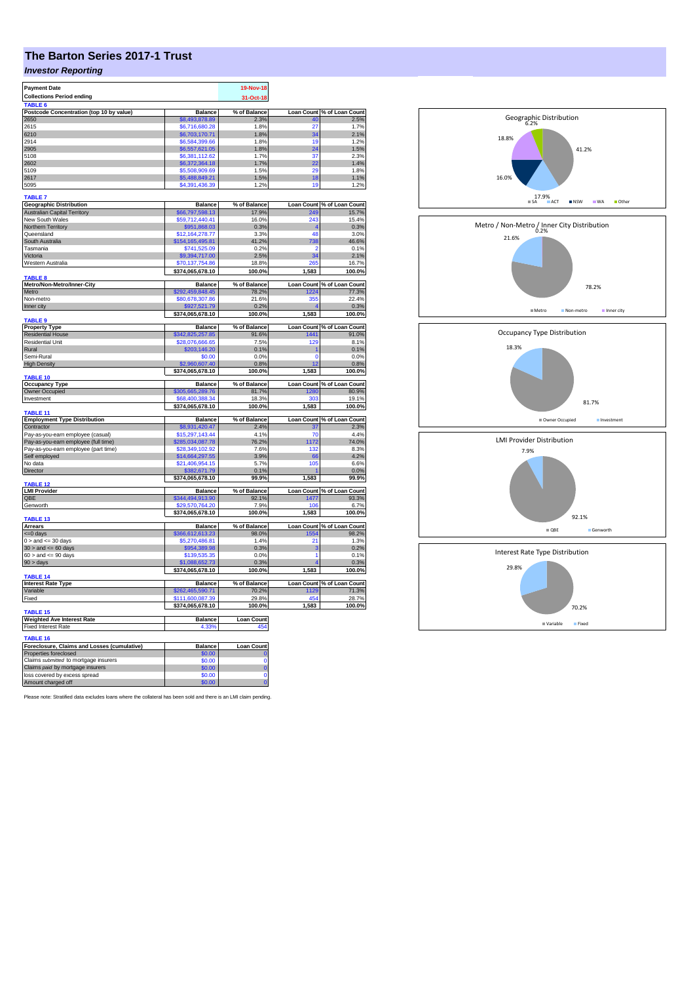## **The Barton Series 2017-1 Trust**

## *Investor Reporting*

| <b>Payment Date</b>                                                   |                                     | 19-Nov-18             |                         |                                     |
|-----------------------------------------------------------------------|-------------------------------------|-----------------------|-------------------------|-------------------------------------|
| <b>Collections Period ending</b>                                      |                                     | 31-Oct-18             |                         |                                     |
| TARI F 6<br>Postcode Concentration (top 10 by value)                  | <b>Balance</b>                      | % of Balance          |                         | Loan Count % of Loan Count          |
| 2650                                                                  | \$8,493,878.89                      | 2.3%                  | 40                      | 2.5%                                |
| 2615                                                                  | \$6,716,680.28                      | 1.8%                  | 27                      | 1.7%                                |
| 6210<br>2914                                                          | \$6,703,170.71                      | 1.8%                  | 34                      | 2.1%                                |
| 2905                                                                  | \$6,584,399.66<br>\$6,557,621.05    | 1.8%<br>1.8%          | 19<br>24                | 1.2%<br>1.5%                        |
| 5108                                                                  | \$6,381,112.62                      | 1.7%                  | 37                      | 2.3%                                |
| 2602                                                                  | \$6,372,364.18                      | 1.7%                  | 22                      | 1.4%                                |
| 5109                                                                  | \$5,508,909.69                      | 1.5%                  | 29                      | 1.8%                                |
| 2617                                                                  | \$5,488,849.21                      | 1.5%                  | 18                      | 1.1%                                |
| 5095                                                                  | \$4,391,436.39                      | 1.2%                  | 19                      | 1.2%                                |
| <b>TABLE 7</b>                                                        |                                     |                       |                         |                                     |
| <b>Geographic Distribution</b><br><b>Australian Capital Territory</b> | <b>Balance</b>                      | % of Balance<br>17.9% | 249                     | Loan Count % of Loan Count<br>15.7% |
| New South Wales                                                       | \$66,797,598.13<br>\$59,712,440.41  | 16.0%                 | 243                     | 15.4%                               |
| Northern Territory                                                    | \$951,868.03                        | 0.3%                  |                         | 0.3%                                |
| Queensland                                                            | \$12,164,278.77                     | 3.3%                  | 48                      | 3.0%                                |
| South Australia                                                       | \$154,165,495.81                    | 41.2%                 | 738                     | 46.6%                               |
| Tasmania                                                              | \$741,525.09                        | 0.2%                  | 2                       | 0.1%                                |
| Victoria                                                              | 9,394,717.00                        | 2.5%                  | 34                      | 2.1%                                |
| Western Australia                                                     | \$70,137,754.86<br>\$374,065,678.10 | 18.8%<br>100.0%       | 265<br>1,583            | 16.7%<br>100.0%                     |
| <b>TABLE 8</b>                                                        |                                     |                       |                         |                                     |
| Metro/Non-Metro/Inner-City<br>Metro                                   | <b>Balance</b><br>292,459,848.45    | % of Balance<br>78.2% | 1224                    | Loan Count % of Loan Count<br>77.3% |
| Non-metro                                                             | \$80,678,307.86                     | 21.6%                 | 355                     | 22.4%                               |
| Inner city                                                            | \$927,521.79                        | 0.2%                  |                         | 0.3%                                |
| TABLE <sub>9</sub>                                                    | \$374,065,678.10                    | 100.0%                | 1,583                   | 100.0%                              |
| <b>Property Type</b>                                                  | <b>Balance</b>                      | % of Balance          |                         | Loan Count % of Loan Count          |
| <b>Residential House</b><br>Residential Unit                          | \$342,825,257.85                    | 91.6%                 | 1441                    | 91.0%                               |
| Rural                                                                 | \$28,076,666.65<br>\$203,146.20     | 7.5%<br>0.1%          | 129                     | 8.1%<br>0.1%                        |
| Semi-Rural                                                            | \$0.00                              | 0.0%                  | n                       | 0.0%                                |
| <b>High Density</b>                                                   | \$2,960,607.40                      | 0.8%                  | 12                      | 0.8%                                |
|                                                                       | \$374,065,678.10                    | 100.0%                | 1,583                   | 100.0%                              |
| TABLE 10<br><b>Occupancy Type</b>                                     | <b>Balance</b>                      | % of Balance          | <b>Loan Count</b>       | % of Loan Count                     |
| Owner Occupied                                                        | \$305,665,289.76                    | 81.7%                 | 1280                    | 80.9%                               |
| Investment                                                            | \$68,400,388.34                     | 18.3%                 | 303                     | 19.1%                               |
|                                                                       | \$374,065,678.10                    | 100.0%                | 1,583                   | 100.0%                              |
| TABLE 11<br><b>Employment Type Distribution</b>                       | <b>Balance</b>                      | % of Balance          |                         | Loan Count % of Loan Count          |
| Contractor                                                            | \$8,931,420.47                      | 2.4%                  | 37                      | 2.3%                                |
| Pay-as-you-earn employee (casual)                                     | \$15,297,143.44                     | 4.1%                  | 70                      | 4.4%                                |
| Pay-as-you-earn employee (full time)                                  | \$285,034,087.78                    | 76.2%                 | 1172                    | 74.0%                               |
| Pay-as-you-earn employee (part time)                                  | \$28,349,102.92                     | 7.6%                  | 132                     | 8.3%                                |
| Self employed                                                         | \$14,664,297.55<br>\$21.406.954.15  | 3.9%                  | 66<br>105               | 4.2%<br>6.6%                        |
| No data<br>Director                                                   | \$382,671.79                        | 5.7%<br>0.1%          |                         | 0.0%                                |
|                                                                       | \$374,065,678.10                    | 99.9%                 | 1,583                   | 99.9%                               |
| <b>TABLE 12</b>                                                       |                                     |                       |                         |                                     |
| <b>LMI Provider</b><br>OBE                                            | <b>Balance</b>                      | % of Balance          |                         | Loan Count % of Loan Count          |
| Genworth                                                              | \$344,494,913.90<br>\$29,570,764.20 | 92.1%<br>7.9%         | 1477<br>10 <sub>f</sub> | 93.3%<br>6.7%                       |
|                                                                       | \$374,065,678.10                    | 100.0%                | 1,583                   | 100.0%                              |
| TABLE 13                                                              |                                     |                       |                         |                                     |
| <b>Arrears</b><br>$= 0$ days                                          | <b>Balance</b><br>\$366,612,613.23  | % of Balance<br>98.0% | 1554                    | Loan Count % of Loan Count<br>98.2% |
| $0 >$ and $\leq 30$ days                                              | \$5,270,486.81                      | 1.4%                  | 21                      | 1.3%                                |
| $30 >$ and $\leq 60$ days                                             | \$954,389.98                        | 0.3%                  | 3                       | 0.2%                                |
| $60 >$ and $\leq 90$ days                                             | \$139,535.35                        | 0.0%                  | 1                       | 0.1%                                |
| 90 > days                                                             | \$1,088,652.73                      | 0.3%                  |                         | 0.3%                                |
| TABLE <sub>14</sub>                                                   | \$374,065,678.10                    | 100.0%                | 1,583                   | 100.0%                              |
| <b>Interest Rate Type</b>                                             | <b>Balance</b>                      | % of Balance          |                         | Loan Count % of Loan Count          |
| Variable                                                              | \$262,465,590.71                    | 70.2%                 | 1129                    | 71.3%                               |
| Fixed                                                                 | \$111,600,087.39                    | 29.8%<br>100.0%       | 454<br>1,583            | 28.7%<br>100.0%                     |
| TABLE <sub>15</sub>                                                   | \$374,065,678.10                    |                       |                         |                                     |
| <b>Weighted Ave Interest Rate</b>                                     | Balance                             | <b>Loan Count</b>     |                         |                                     |
| <b>Fixed Interest Rate</b>                                            | 4.339                               | 454                   |                         |                                     |
| <b>TABLE 16</b>                                                       |                                     |                       |                         |                                     |
| Foreclosure, Claims and Losses (cumulative)<br>Properties foreclosed  | <b>Balance</b><br>\$0.00            | Loan Count            |                         |                                     |
| Claims submitted to mortgage insurers                                 | \$0.00                              | Ò                     |                         |                                     |
| Claims paid by mortgage insurers                                      | \$0.00                              | $\overline{0}$        |                         |                                     |
| loss covered by excess spread                                         | \$0.00                              | Ō                     |                         |                                     |
| Amount charged off                                                    | \$0.00                              | $\overline{0}$        |                         |                                     |

Please note: Stratified data excludes loans where the collateral has been sold and there is an LMI claim pending.